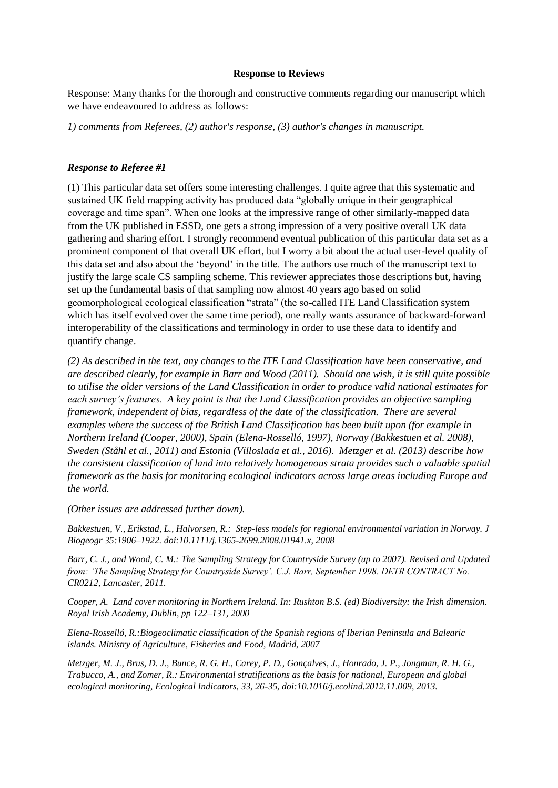## **Response to Reviews**

Response: Many thanks for the thorough and constructive comments regarding our manuscript which we have endeavoured to address as follows:

*1) comments from Referees, (2) author's response, (3) author's changes in manuscript.*

## *Response to Referee #1*

(1) This particular data set offers some interesting challenges. I quite agree that this systematic and sustained UK field mapping activity has produced data "globally unique in their geographical coverage and time span". When one looks at the impressive range of other similarly-mapped data from the UK published in ESSD, one gets a strong impression of a very positive overall UK data gathering and sharing effort. I strongly recommend eventual publication of this particular data set as a prominent component of that overall UK effort, but I worry a bit about the actual user-level quality of this data set and also about the 'beyond' in the title. The authors use much of the manuscript text to justify the large scale CS sampling scheme. This reviewer appreciates those descriptions but, having set up the fundamental basis of that sampling now almost 40 years ago based on solid geomorphological ecological classification "strata" (the so-called ITE Land Classification system which has itself evolved over the same time period), one really wants assurance of backward-forward interoperability of the classifications and terminology in order to use these data to identify and quantify change.

*(2) As described in the text, any changes to the ITE Land Classification have been conservative, and are described clearly, for example in Barr and Wood (2011). Should one wish, it is still quite possible to utilise the older versions of the Land Classification in order to produce valid national estimates for each survey's features. A key point is that the Land Classification provides an objective sampling framework, independent of bias, regardless of the date of the classification. There are several examples where the success of the British Land Classification has been built upon (for example in Northern Ireland (Cooper, 2000), Spain (Elena-Rosselló, 1997), Norway (Bakkestuen et al. 2008), Sweden (Ståhl et al., 2011) and Estonia (Villoslada et al., 2016). Metzger et al. (2013) describe how the consistent classification of land into relatively homogenous strata provides such a valuable spatial framework as the basis for monitoring ecological indicators across large areas including Europe and the world.* 

*(Other issues are addressed further down).*

*Bakkestuen, V., Erikstad, L., Halvorsen, R.: Step-less models for regional environmental variation in Norway. J Biogeogr 35:1906–1922. doi:10.1111/j.1365-2699.2008.01941.x, 2008*

*Barr, C. J., and Wood, C. M.: The Sampling Strategy for Countryside Survey (up to 2007). Revised and Updated from: 'The Sampling Strategy for Countryside Survey', C.J. Barr, September 1998. DETR CONTRACT No. CR0212, Lancaster, 2011.*

*Cooper, A. Land cover monitoring in Northern Ireland. In: Rushton B.S. (ed) Biodiversity: the Irish dimension. Royal Irish Academy, Dublin, pp 122–131, 2000*

*Elena-Rosselló, R.:Biogeoclimatic classification of the Spanish regions of Iberian Peninsula and Balearic islands. Ministry of Agriculture, Fisheries and Food, Madrid, 2007*

*Metzger, M. J., Brus, D. J., Bunce, R. G. H., Carey, P. D., Gonçalves, J., Honrado, J. P., Jongman, R. H. G., Trabucco, A., and Zomer, R.: Environmental stratifications as the basis for national, European and global ecological monitoring, Ecological Indicators, 33, 26-35, doi:10.1016/j.ecolind.2012.11.009, 2013.*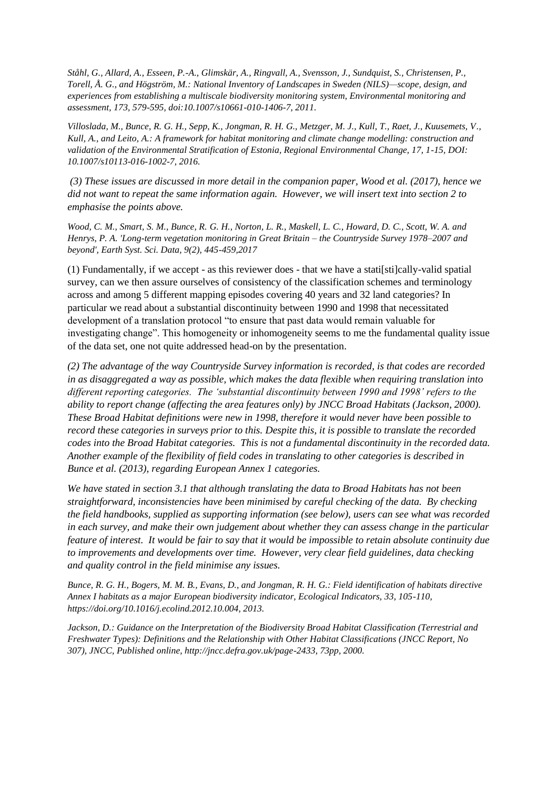*Ståhl, G., Allard, A., Esseen, P.-A., Glimskär, A., Ringvall, A., Svensson, J., Sundquist, S., Christensen, P., Torell, Å. G., and Högström, M.: National Inventory of Landscapes in Sweden (NILS)—scope, design, and experiences from establishing a multiscale biodiversity monitoring system, Environmental monitoring and assessment, 173, 579-595, doi:10.1007/s10661-010-1406-7, 2011.*

*Villoslada, M., Bunce, R. G. H., Sepp, K., Jongman, R. H. G., Metzger, M. J., Kull, T., Raet, J., Kuusemets, V., Kull, A., and Leito, A.: A framework for habitat monitoring and climate change modelling: construction and validation of the Environmental Stratification of Estonia, Regional Environmental Change, 17, 1-15, DOI: 10.1007/s10113-016-1002-7, 2016.*

*(3) These issues are discussed in more detail in the companion paper, Wood et al. (2017), hence we did not want to repeat the same information again. However, we will insert text into section 2 to emphasise the points above.*

*Wood, C. M., Smart, S. M., Bunce, R. G. H., Norton, L. R., Maskell, L. C., Howard, D. C., Scott, W. A. and Henrys, P. A. 'Long-term vegetation monitoring in Great Britain – the Countryside Survey 1978–2007 and beyond', Earth Syst. Sci. Data, 9(2), 445-459,2017*

(1) Fundamentally, if we accept - as this reviewer does - that we have a stati[sti]cally-valid spatial survey, can we then assure ourselves of consistency of the classification schemes and terminology across and among 5 different mapping episodes covering 40 years and 32 land categories? In particular we read about a substantial discontinuity between 1990 and 1998 that necessitated development of a translation protocol "to ensure that past data would remain valuable for investigating change". This homogeneity or inhomogeneity seems to me the fundamental quality issue of the data set, one not quite addressed head-on by the presentation.

*(2) The advantage of the way Countryside Survey information is recorded, is that codes are recorded in as disaggregated a way as possible, which makes the data flexible when requiring translation into different reporting categories. The 'substantial discontinuity between 1990 and 1998' refers to the ability to report change (affecting the area features only) by JNCC Broad Habitats (Jackson, 2000). These Broad Habitat definitions were new in 1998, therefore it would never have been possible to record these categories in surveys prior to this. Despite this, it is possible to translate the recorded codes into the Broad Habitat categories. This is not a fundamental discontinuity in the recorded data. Another example of the flexibility of field codes in translating to other categories is described in Bunce et al. (2013), regarding European Annex 1 categories.*

*We have stated in section 3.1 that although translating the data to Broad Habitats has not been straightforward, inconsistencies have been minimised by careful checking of the data. By checking the field handbooks, supplied as supporting information (see below), users can see what was recorded in each survey, and make their own judgement about whether they can assess change in the particular feature of interest. It would be fair to say that it would be impossible to retain absolute continuity due to improvements and developments over time. However, very clear field guidelines, data checking and quality control in the field minimise any issues.*

*Bunce, R. G. H., Bogers, M. M. B., Evans, D., and Jongman, R. H. G.: Field identification of habitats directive Annex I habitats as a major European biodiversity indicator, Ecological Indicators, 33, 105-110, https://doi.org/10.1016/j.ecolind.2012.10.004, 2013.*

*Jackson, D.: Guidance on the Interpretation of the Biodiversity Broad Habitat Classification (Terrestrial and Freshwater Types): Definitions and the Relationship with Other Habitat Classifications (JNCC Report, No 307), JNCC, Published online, http://jncc.defra.gov.uk/page-2433, 73pp, 2000.*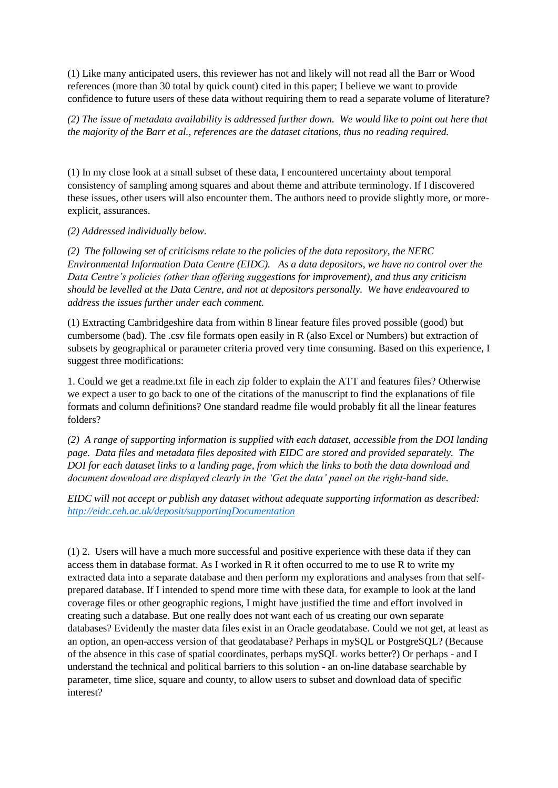(1) Like many anticipated users, this reviewer has not and likely will not read all the Barr or Wood references (more than 30 total by quick count) cited in this paper; I believe we want to provide confidence to future users of these data without requiring them to read a separate volume of literature?

*(2) The issue of metadata availability is addressed further down. We would like to point out here that the majority of the Barr et al., references are the dataset citations, thus no reading required.*

(1) In my close look at a small subset of these data, I encountered uncertainty about temporal consistency of sampling among squares and about theme and attribute terminology. If I discovered these issues, other users will also encounter them. The authors need to provide slightly more, or moreexplicit, assurances.

*(2) Addressed individually below.*

*(2) The following set of criticisms relate to the policies of the data repository, the NERC Environmental Information Data Centre (EIDC). As a data depositors, we have no control over the Data Centre's policies (other than offering suggestions for improvement), and thus any criticism should be levelled at the Data Centre, and not at depositors personally. We have endeavoured to address the issues further under each comment.*

(1) Extracting Cambridgeshire data from within 8 linear feature files proved possible (good) but cumbersome (bad). The .csv file formats open easily in R (also Excel or Numbers) but extraction of subsets by geographical or parameter criteria proved very time consuming. Based on this experience, I suggest three modifications:

1. Could we get a readme.txt file in each zip folder to explain the ATT and features files? Otherwise we expect a user to go back to one of the citations of the manuscript to find the explanations of file formats and column definitions? One standard readme file would probably fit all the linear features folders?

*(2) A range of supporting information is supplied with each dataset, accessible from the DOI landing page. Data files and metadata files deposited with EIDC are stored and provided separately. The DOI for each dataset links to a landing page, from which the links to both the data download and document download are displayed clearly in the 'Get the data' panel on the right-hand side.*

*EIDC will not accept or publish any dataset without adequate supporting information as described: <http://eidc.ceh.ac.uk/deposit/supportingDocumentation>*

(1) 2. Users will have a much more successful and positive experience with these data if they can access them in database format. As I worked in R it often occurred to me to use R to write my extracted data into a separate database and then perform my explorations and analyses from that selfprepared database. If I intended to spend more time with these data, for example to look at the land coverage files or other geographic regions, I might have justified the time and effort involved in creating such a database. But one really does not want each of us creating our own separate databases? Evidently the master data files exist in an Oracle geodatabase. Could we not get, at least as an option, an open-access version of that geodatabase? Perhaps in mySQL or PostgreSQL? (Because of the absence in this case of spatial coordinates, perhaps mySQL works better?) Or perhaps - and I understand the technical and political barriers to this solution - an on-line database searchable by parameter, time slice, square and county, to allow users to subset and download data of specific interest?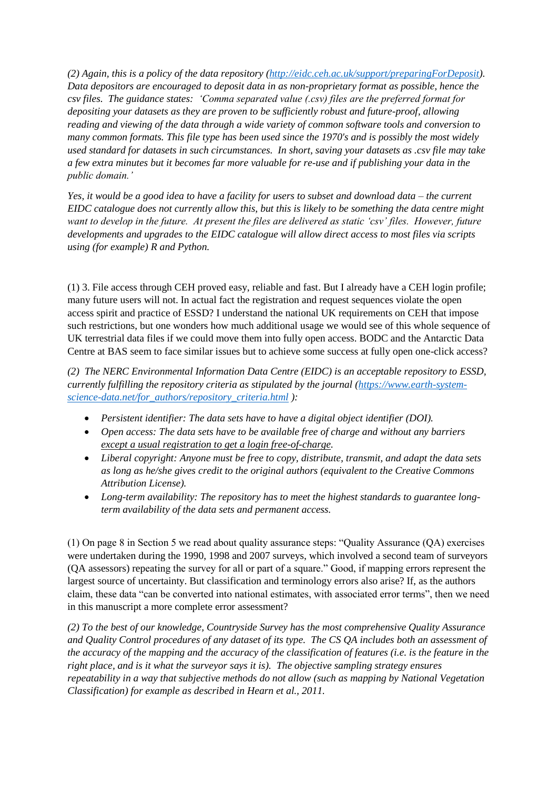*(2) Again, this is a policy of the data repository [\(http://eidc.ceh.ac.uk/support/preparingForDeposit\)](http://eidc.ceh.ac.uk/support/preparingForDeposit). Data depositors are encouraged to deposit data in as non-proprietary format as possible, hence the csv files. The guidance states: 'Comma separated value (.csv) files are the preferred format for depositing your datasets as they are proven to be sufficiently robust and future-proof, allowing reading and viewing of the data through a wide variety of common software tools and conversion to many common formats. This file type has been used since the 1970's and is possibly the most widely used standard for datasets in such circumstances. In short, saving your datasets as .csv file may take a few extra minutes but it becomes far more valuable for re-use and if publishing your data in the public domain.'*

*Yes, it would be a good idea to have a facility for users to subset and download data – the current EIDC catalogue does not currently allow this, but this is likely to be something the data centre might want to develop in the future. At present the files are delivered as static 'csv' files. However, future developments and upgrades to the EIDC catalogue will allow direct access to most files via scripts using (for example) R and Python.* 

(1) 3. File access through CEH proved easy, reliable and fast. But I already have a CEH login profile; many future users will not. In actual fact the registration and request sequences violate the open access spirit and practice of ESSD? I understand the national UK requirements on CEH that impose such restrictions, but one wonders how much additional usage we would see of this whole sequence of UK terrestrial data files if we could move them into fully open access. BODC and the Antarctic Data Centre at BAS seem to face similar issues but to achieve some success at fully open one-click access?

*(2) The NERC Environmental Information Data Centre (EIDC) is an acceptable repository to ESSD, currently fulfilling the repository criteria as stipulated by the journal [\(https://www.earth-system](https://www.earth-system-science-data.net/for_authors/repository_criteria.html)[science-data.net/for\\_authors/repository\\_criteria.html](https://www.earth-system-science-data.net/for_authors/repository_criteria.html) ):*

- *Persistent identifier: The data sets have to have a digital object identifier (DOI).*
- *Open access: The data sets have to be available free of charge and without any barriers except a usual registration to get a login free-of-charge.*
- *Liberal copyright: Anyone must be free to copy, distribute, transmit, and adapt the data sets as long as he/she gives credit to the original authors (equivalent to the Creative Commons Attribution License).*
- *Long-term availability: The repository has to meet the highest standards to guarantee longterm availability of the data sets and permanent access.*

(1) On page 8 in Section 5 we read about quality assurance steps: "Quality Assurance (QA) exercises were undertaken during the 1990, 1998 and 2007 surveys, which involved a second team of surveyors (QA assessors) repeating the survey for all or part of a square." Good, if mapping errors represent the largest source of uncertainty. But classification and terminology errors also arise? If, as the authors claim, these data "can be converted into national estimates, with associated error terms", then we need in this manuscript a more complete error assessment?

*(2) To the best of our knowledge, Countryside Survey has the most comprehensive Quality Assurance and Quality Control procedures of any dataset of its type. The CS QA includes both an assessment of the accuracy of the mapping and the accuracy of the classification of features (i.e. is the feature in the right place, and is it what the surveyor says it is). The objective sampling strategy ensures repeatability in a way that subjective methods do not allow (such as mapping by National Vegetation Classification) for example as described in Hearn et al., 2011.*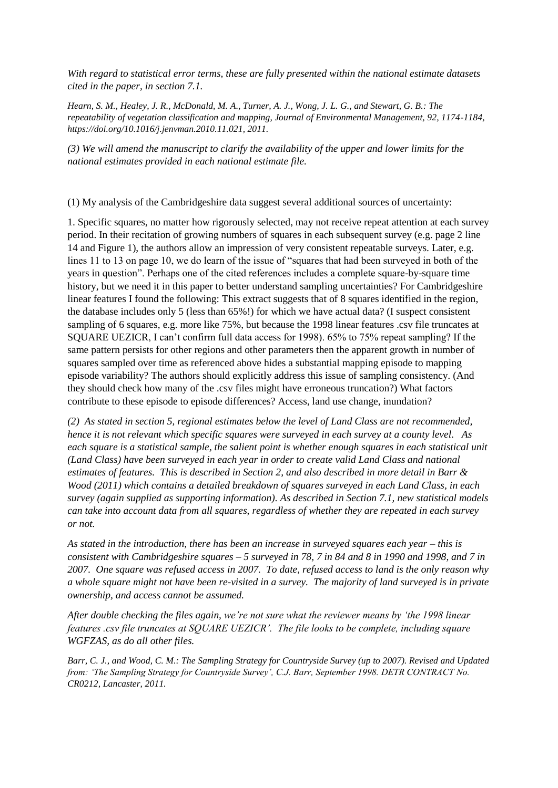*With regard to statistical error terms, these are fully presented within the national estimate datasets cited in the paper, in section 7.1.* 

*Hearn, S. M., Healey, J. R., McDonald, M. A., Turner, A. J., Wong, J. L. G., and Stewart, G. B.: The repeatability of vegetation classification and mapping, Journal of Environmental Management, 92, 1174-1184, https://doi.org/10.1016/j.jenvman.2010.11.021, 2011.*

*(3) We will amend the manuscript to clarify the availability of the upper and lower limits for the national estimates provided in each national estimate file.*

(1) My analysis of the Cambridgeshire data suggest several additional sources of uncertainty:

1. Specific squares, no matter how rigorously selected, may not receive repeat attention at each survey period. In their recitation of growing numbers of squares in each subsequent survey (e.g. page 2 line 14 and Figure 1), the authors allow an impression of very consistent repeatable surveys. Later, e.g. lines 11 to 13 on page 10, we do learn of the issue of "squares that had been surveyed in both of the years in question". Perhaps one of the cited references includes a complete square-by-square time history, but we need it in this paper to better understand sampling uncertainties? For Cambridgeshire linear features I found the following: This extract suggests that of 8 squares identified in the region, the database includes only 5 (less than 65%!) for which we have actual data? (I suspect consistent sampling of 6 squares, e.g. more like 75%, but because the 1998 linear features .csv file truncates at SQUARE UEZICR, I can't confirm full data access for 1998). 65% to 75% repeat sampling? If the same pattern persists for other regions and other parameters then the apparent growth in number of squares sampled over time as referenced above hides a substantial mapping episode to mapping episode variability? The authors should explicitly address this issue of sampling consistency. (And they should check how many of the .csv files might have erroneous truncation?) What factors contribute to these episode to episode differences? Access, land use change, inundation?

*(2) As stated in section 5, regional estimates below the level of Land Class are not recommended, hence it is not relevant which specific squares were surveyed in each survey at a county level. As each square is a statistical sample, the salient point is whether enough squares in each statistical unit (Land Class) have been surveyed in each year in order to create valid Land Class and national estimates of features. This is described in Section 2, and also described in more detail in Barr & Wood (2011) which contains a detailed breakdown of squares surveyed in each Land Class, in each survey (again supplied as supporting information). As described in Section 7.1, new statistical models can take into account data from all squares, regardless of whether they are repeated in each survey or not.*

*As stated in the introduction, there has been an increase in surveyed squares each year – this is consistent with Cambridgeshire squares – 5 surveyed in 78, 7 in 84 and 8 in 1990 and 1998, and 7 in 2007. One square was refused access in 2007. To date, refused access to land is the only reason why a whole square might not have been re-visited in a survey. The majority of land surveyed is in private ownership, and access cannot be assumed.*

*After double checking the files again, we're not sure what the reviewer means by 'the 1998 linear features .csv file truncates at SQUARE UEZICR'. The file looks to be complete, including square WGFZAS, as do all other files.*

*Barr, C. J., and Wood, C. M.: The Sampling Strategy for Countryside Survey (up to 2007). Revised and Updated from: 'The Sampling Strategy for Countryside Survey', C.J. Barr, September 1998. DETR CONTRACT No. CR0212, Lancaster, 2011.*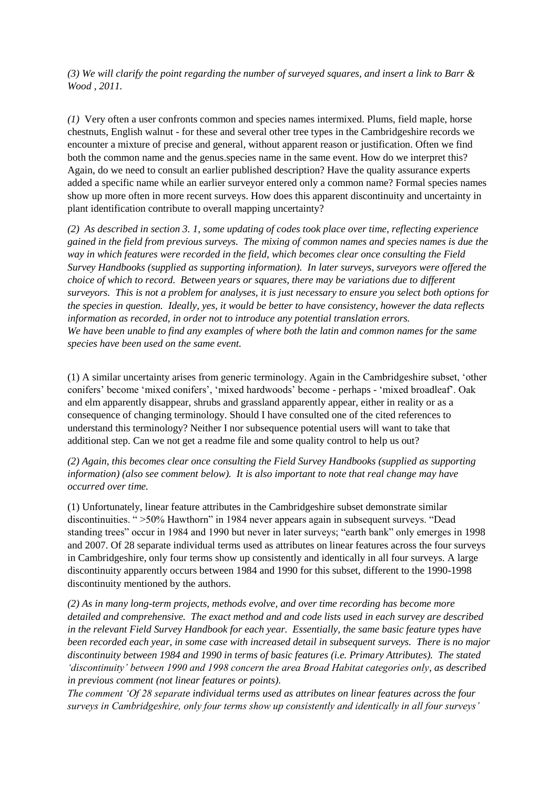*(3) We will clarify the point regarding the number of surveyed squares, and insert a link to Barr & Wood , 2011.* 

*(1)* Very often a user confronts common and species names intermixed. Plums, field maple, horse chestnuts, English walnut - for these and several other tree types in the Cambridgeshire records we encounter a mixture of precise and general, without apparent reason or justification. Often we find both the common name and the genus.species name in the same event. How do we interpret this? Again, do we need to consult an earlier published description? Have the quality assurance experts added a specific name while an earlier surveyor entered only a common name? Formal species names show up more often in more recent surveys. How does this apparent discontinuity and uncertainty in plant identification contribute to overall mapping uncertainty?

*(2) As described in section 3. 1, some updating of codes took place over time, reflecting experience gained in the field from previous surveys. The mixing of common names and species names is due the way in which features were recorded in the field, which becomes clear once consulting the Field Survey Handbooks (supplied as supporting information). In later surveys, surveyors were offered the choice of which to record. Between years or squares, there may be variations due to different surveyors. This is not a problem for analyses, it is just necessary to ensure you select both options for the species in question. Ideally, yes, it would be better to have consistency, however the data reflects information as recorded, in order not to introduce any potential translation errors. We have been unable to find any examples of where both the latin and common names for the same species have been used on the same event.* 

(1) A similar uncertainty arises from generic terminology. Again in the Cambridgeshire subset, 'other conifers' become 'mixed conifers', 'mixed hardwoods' become - perhaps - 'mixed broadleaf'. Oak and elm apparently disappear, shrubs and grassland apparently appear, either in reality or as a consequence of changing terminology. Should I have consulted one of the cited references to understand this terminology? Neither I nor subsequence potential users will want to take that additional step. Can we not get a readme file and some quality control to help us out?

*(2) Again, this becomes clear once consulting the Field Survey Handbooks (supplied as supporting information) (also see comment below). It is also important to note that real change may have occurred over time.*

(1) Unfortunately, linear feature attributes in the Cambridgeshire subset demonstrate similar discontinuities. " >50% Hawthorn" in 1984 never appears again in subsequent surveys. "Dead standing trees" occur in 1984 and 1990 but never in later surveys; "earth bank" only emerges in 1998 and 2007. Of 28 separate individual terms used as attributes on linear features across the four surveys in Cambridgeshire, only four terms show up consistently and identically in all four surveys. A large discontinuity apparently occurs between 1984 and 1990 for this subset, different to the 1990-1998 discontinuity mentioned by the authors.

*(2) As in many long-term projects, methods evolve, and over time recording has become more detailed and comprehensive. The exact method and and code lists used in each survey are described in the relevant Field Survey Handbook for each year. Essentially, the same basic feature types have been recorded each year, in some case with increased detail in subsequent surveys. There is no major discontinuity between 1984 and 1990 in terms of basic features (i.e. Primary Attributes). The stated 'discontinuity' between 1990 and 1998 concern the area Broad Habitat categories only, as described in previous comment (not linear features or points).*

*The comment 'Of 28 separate individual terms used as attributes on linear features across the four surveys in Cambridgeshire, only four terms show up consistently and identically in all four surveys'*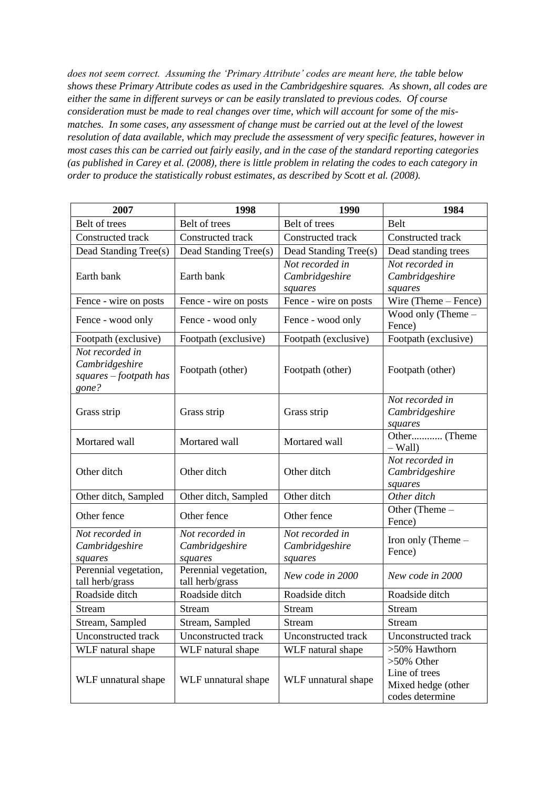*does not seem correct. Assuming the 'Primary Attribute' codes are meant here, the table below shows these Primary Attribute codes as used in the Cambridgeshire squares. As shown, all codes are either the same in different surveys or can be easily translated to previous codes. Of course consideration must be made to real changes over time, which will account for some of the mismatches. In some cases, any assessment of change must be carried out at the level of the lowest resolution of data available, which may preclude the assessment of very specific features, however in most cases this can be carried out fairly easily, and in the case of the standard reporting categories (as published in Carey et al. (2008), there is little problem in relating the codes to each category in order to produce the statistically robust estimates, as described by Scott et al. (2008).* 

| 2007                                                                 | 1998                                         | 1990                                         | 1984                                                                    |
|----------------------------------------------------------------------|----------------------------------------------|----------------------------------------------|-------------------------------------------------------------------------|
| Belt of trees                                                        | Belt of trees                                | Belt of trees                                | Belt                                                                    |
| Constructed track                                                    | Constructed track                            | Constructed track                            | Constructed track                                                       |
| Dead Standing Tree(s)                                                | Dead Standing Tree(s)                        | Dead Standing Tree(s)                        | Dead standing trees                                                     |
| Earth bank                                                           | Earth bank                                   | Not recorded in<br>Cambridgeshire<br>squares | Not recorded in<br>Cambridgeshire<br>squares                            |
| Fence - wire on posts                                                | Fence - wire on posts                        | Fence - wire on posts                        | Wire (Theme – Fence)                                                    |
| Fence - wood only                                                    | Fence - wood only                            | Fence - wood only                            | Wood only (Theme $-$<br>Fence)                                          |
| Footpath (exclusive)                                                 | Footpath (exclusive)                         | Footpath (exclusive)                         | Footpath (exclusive)                                                    |
| Not recorded in<br>Cambridgeshire<br>squares - footpath has<br>gone? | Footpath (other)                             | Footpath (other)                             | Footpath (other)                                                        |
| Grass strip                                                          | Grass strip                                  | Grass strip                                  | Not recorded in<br>Cambridgeshire<br>squares                            |
| Mortared wall                                                        | Mortared wall                                | Mortared wall                                | Other (Theme<br>$-Wall)$                                                |
| Other ditch                                                          | Other ditch                                  | Other ditch                                  | Not recorded in<br>Cambridgeshire<br>squares                            |
| Other ditch, Sampled                                                 | Other ditch, Sampled                         | Other ditch                                  | Other ditch                                                             |
| Other fence                                                          | Other fence                                  | Other fence                                  | Other (Theme -<br>Fence)                                                |
| Not recorded in<br>Cambridgeshire<br>squares                         | Not recorded in<br>Cambridgeshire<br>squares | Not recorded in<br>Cambridgeshire<br>squares | Iron only (Theme $-$<br>Fence)                                          |
| Perennial vegetation,<br>tall herb/grass                             | Perennial vegetation,<br>tall herb/grass     | New code in 2000                             | New code in 2000                                                        |
| Roadside ditch                                                       | Roadside ditch                               | Roadside ditch                               | Roadside ditch                                                          |
| Stream                                                               | <b>Stream</b>                                | Stream                                       | Stream                                                                  |
| Stream, Sampled                                                      | Stream, Sampled                              | <b>Stream</b>                                | <b>Stream</b>                                                           |
| Unconstructed track                                                  | Unconstructed track                          | Unconstructed track                          | Unconstructed track                                                     |
| WLF natural shape                                                    | WLF natural shape                            | WLF natural shape                            | >50% Hawthorn                                                           |
| WLF unnatural shape                                                  | WLF unnatural shape                          | WLF unnatural shape                          | $>50\%$ Other<br>Line of trees<br>Mixed hedge (other<br>codes determine |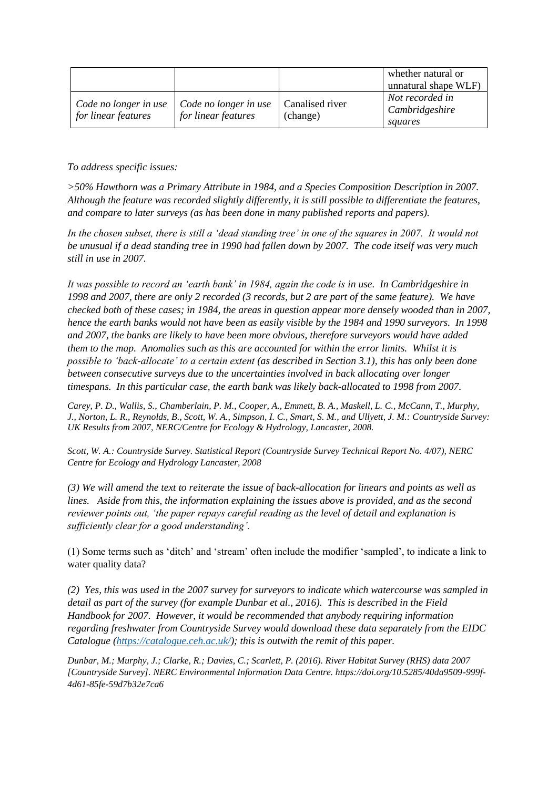|                                              |                                              |                             | whether natural or<br>unnatural shape WLF)   |
|----------------------------------------------|----------------------------------------------|-----------------------------|----------------------------------------------|
| Code no longer in use<br>for linear features | Code no longer in use<br>for linear features | Canalised river<br>(change) | Not recorded in<br>Cambridgeshire<br>squares |

*To address specific issues:* 

*>50% Hawthorn was a Primary Attribute in 1984, and a Species Composition Description in 2007. Although the feature was recorded slightly differently, it is still possible to differentiate the features, and compare to later surveys (as has been done in many published reports and papers).*

*In the chosen subset, there is still a 'dead standing tree' in one of the squares in 2007. It would not be unusual if a dead standing tree in 1990 had fallen down by 2007. The code itself was very much still in use in 2007.*

*It was possible to record an 'earth bank' in 1984, again the code is in use. In Cambridgeshire in 1998 and 2007, there are only 2 recorded (3 records, but 2 are part of the same feature). We have checked both of these cases; in 1984, the areas in question appear more densely wooded than in 2007, hence the earth banks would not have been as easily visible by the 1984 and 1990 surveyors. In 1998 and 2007, the banks are likely to have been more obvious, therefore surveyors would have added them to the map. Anomalies such as this are accounted for within the error limits. Whilst it is possible to 'back-allocate' to a certain extent (as described in Section 3.1), this has only been done between consecutive surveys due to the uncertainties involved in back allocating over longer timespans. In this particular case, the earth bank was likely back-allocated to 1998 from 2007.*

*Carey, P. D., Wallis, S., Chamberlain, P. M., Cooper, A., Emmett, B. A., Maskell, L. C., McCann, T., Murphy, J., Norton, L. R., Reynolds, B., Scott, W. A., Simpson, I. C., Smart, S. M., and Ullyett, J. M.: Countryside Survey: UK Results from 2007, NERC/Centre for Ecology & Hydrology, Lancaster, 2008.*

*Scott, W. A.: Countryside Survey. Statistical Report (Countryside Survey Technical Report No. 4/07), NERC Centre for Ecology and Hydrology Lancaster, 2008*

*(3) We will amend the text to reiterate the issue of back-allocation for linears and points as well as lines. Aside from this, the information explaining the issues above is provided, and as the second reviewer points out, 'the paper repays careful reading as the level of detail and explanation is sufficiently clear for a good understanding'.*

(1) Some terms such as 'ditch' and 'stream' often include the modifier 'sampled', to indicate a link to water quality data?

*(2) Yes, this was used in the 2007 survey for surveyors to indicate which watercourse was sampled in detail as part of the survey (for example Dunbar et al., 2016). This is described in the Field Handbook for 2007. However, it would be recommended that anybody requiring information regarding freshwater from Countryside Survey would download these data separately from the EIDC Catalogue [\(https://catalogue.ceh.ac.uk/\)](https://catalogue.ceh.ac.uk/); this is outwith the remit of this paper.* 

*Dunbar, M.; Murphy, J.; Clarke, R.; Davies, C.; Scarlett, P. (2016). River Habitat Survey (RHS) data 2007 [Countryside Survey]. NERC Environmental Information Data Centre. https://doi.org/10.5285/40da9509-999f-4d61-85fe-59d7b32e7ca6*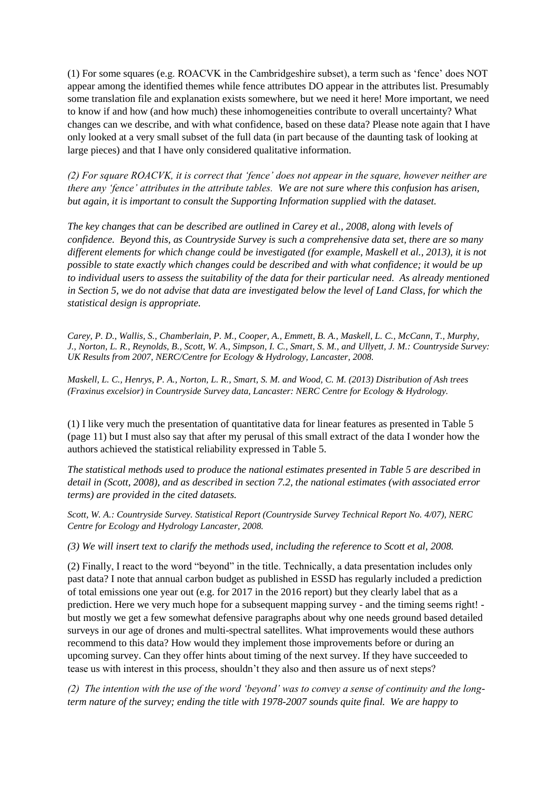(1) For some squares (e.g. ROACVK in the Cambridgeshire subset), a term such as 'fence' does NOT appear among the identified themes while fence attributes DO appear in the attributes list. Presumably some translation file and explanation exists somewhere, but we need it here! More important, we need to know if and how (and how much) these inhomogeneities contribute to overall uncertainty? What changes can we describe, and with what confidence, based on these data? Please note again that I have only looked at a very small subset of the full data (in part because of the daunting task of looking at large pieces) and that I have only considered qualitative information.

*(2) For square ROACVK, it is correct that 'fence' does not appear in the square, however neither are there any 'fence' attributes in the attribute tables. We are not sure where this confusion has arisen, but again, it is important to consult the Supporting Information supplied with the dataset.*

*The key changes that can be described are outlined in Carey et al., 2008, along with levels of confidence. Beyond this, as Countryside Survey is such a comprehensive data set, there are so many different elements for which change could be investigated (for example, Maskell et al., 2013), it is not possible to state exactly which changes could be described and with what confidence; it would be up to individual users to assess the suitability of the data for their particular need. As already mentioned in Section 5, we do not advise that data are investigated below the level of Land Class, for which the statistical design is appropriate.* 

*Carey, P. D., Wallis, S., Chamberlain, P. M., Cooper, A., Emmett, B. A., Maskell, L. C., McCann, T., Murphy, J., Norton, L. R., Reynolds, B., Scott, W. A., Simpson, I. C., Smart, S. M., and Ullyett, J. M.: Countryside Survey: UK Results from 2007, NERC/Centre for Ecology & Hydrology, Lancaster, 2008.*

*Maskell, L. C., Henrys, P. A., Norton, L. R., Smart, S. M. and Wood, C. M. (2013) Distribution of Ash trees (Fraxinus excelsior) in Countryside Survey data, Lancaster: NERC Centre for Ecology & Hydrology.*

(1) I like very much the presentation of quantitative data for linear features as presented in Table 5 (page 11) but I must also say that after my perusal of this small extract of the data I wonder how the authors achieved the statistical reliability expressed in Table 5.

*The statistical methods used to produce the national estimates presented in Table 5 are described in detail in (Scott, 2008), and as described in section 7.2, the national estimates (with associated error terms) are provided in the cited datasets.* 

*Scott, W. A.: Countryside Survey. Statistical Report (Countryside Survey Technical Report No. 4/07), NERC Centre for Ecology and Hydrology Lancaster, 2008.*

*(3) We will insert text to clarify the methods used, including the reference to Scott et al, 2008.* 

(2) Finally, I react to the word "beyond" in the title. Technically, a data presentation includes only past data? I note that annual carbon budget as published in ESSD has regularly included a prediction of total emissions one year out (e.g. for 2017 in the 2016 report) but they clearly label that as a prediction. Here we very much hope for a subsequent mapping survey - and the timing seems right! but mostly we get a few somewhat defensive paragraphs about why one needs ground based detailed surveys in our age of drones and multi-spectral satellites. What improvements would these authors recommend to this data? How would they implement those improvements before or during an upcoming survey. Can they offer hints about timing of the next survey. If they have succeeded to tease us with interest in this process, shouldn't they also and then assure us of next steps?

*(2) The intention with the use of the word 'beyond' was to convey a sense of continuity and the longterm nature of the survey; ending the title with 1978-2007 sounds quite final. We are happy to*